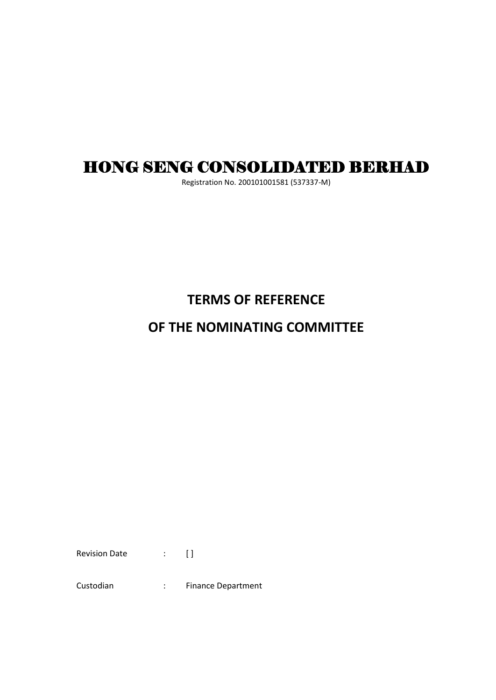# HONG SENG CONSOLIDATED BERHAD

Registration No. 200101001581 (537337-M)

## **TERMS OF REFERENCE**

### **OF THE NOMINATING COMMITTEE**

Revision Date : []

Custodian : Finance Department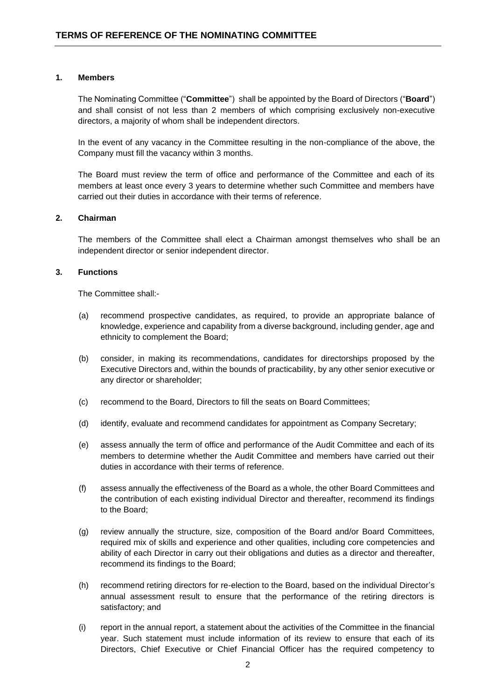#### **1. Members**

The Nominating Committee ("**Committee**") shall be appointed by the Board of Directors ("**Board**") and shall consist of not less than 2 members of which comprising exclusively non-executive directors, a majority of whom shall be independent directors.

In the event of any vacancy in the Committee resulting in the non-compliance of the above, the Company must fill the vacancy within 3 months.

The Board must review the term of office and performance of the Committee and each of its members at least once every 3 years to determine whether such Committee and members have carried out their duties in accordance with their terms of reference.

#### **2. Chairman**

The members of the Committee shall elect a Chairman amongst themselves who shall be an independent director or senior independent director.

#### **3. Functions**

The Committee shall:-

- (a) recommend prospective candidates, as required, to provide an appropriate balance of knowledge, experience and capability from a diverse background, including gender, age and ethnicity to complement the Board;
- (b) consider, in making its recommendations, candidates for directorships proposed by the Executive Directors and, within the bounds of practicability, by any other senior executive or any director or shareholder;
- (c) recommend to the Board, Directors to fill the seats on Board Committees;
- (d) identify, evaluate and recommend candidates for appointment as Company Secretary;
- (e) assess annually the term of office and performance of the Audit Committee and each of its members to determine whether the Audit Committee and members have carried out their duties in accordance with their terms of reference.
- (f) assess annually the effectiveness of the Board as a whole, the other Board Committees and the contribution of each existing individual Director and thereafter, recommend its findings to the Board;
- (g) review annually the structure, size, composition of the Board and/or Board Committees, required mix of skills and experience and other qualities, including core competencies and ability of each Director in carry out their obligations and duties as a director and thereafter, recommend its findings to the Board;
- (h) recommend retiring directors for re-election to the Board, based on the individual Director's annual assessment result to ensure that the performance of the retiring directors is satisfactory; and
- (i) report in the annual report, a statement about the activities of the Committee in the financial year. Such statement must include information of its review to ensure that each of its Directors, Chief Executive or Chief Financial Officer has the required competency to